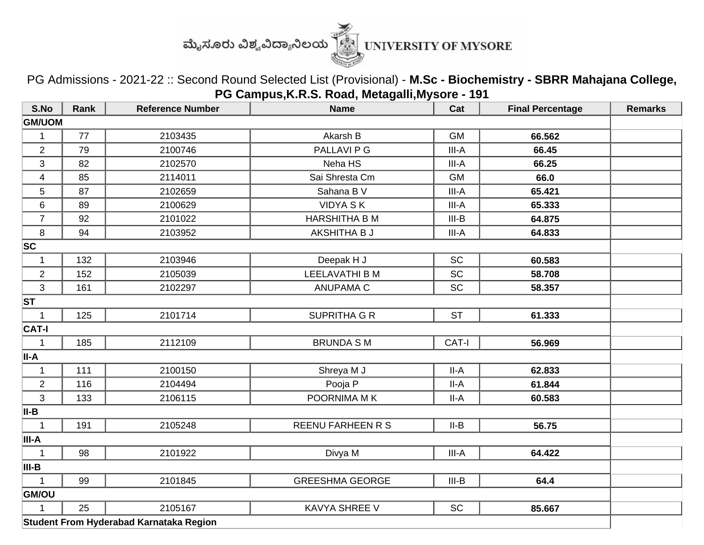

PG Admissions - 2021-22 :: Second Round Selected List (Provisional) - **M.Sc - Biochemistry - SBRR Mahajana College, PG Campus,K.R.S. Road, Metagalli,Mysore - 191**

| S.No                    | Rank | <b>Reference Number</b>                 | <b>Name</b>              | Cat       | <b>Final Percentage</b> | <b>Remarks</b> |  |  |
|-------------------------|------|-----------------------------------------|--------------------------|-----------|-------------------------|----------------|--|--|
| <b>GM/UOM</b>           |      |                                         |                          |           |                         |                |  |  |
| $\mathbf 1$             | 77   | 2103435                                 | Akarsh B                 | <b>GM</b> | 66.562                  |                |  |  |
| $\overline{2}$          | 79   | 2100746                                 | PALLAVI P G              | III-A     | 66.45                   |                |  |  |
| 3                       | 82   | 2102570                                 | Neha HS                  | $III-A$   | 66.25                   |                |  |  |
| $\overline{\mathbf{4}}$ | 85   | 2114011                                 | Sai Shresta Cm           | <b>GM</b> | 66.0                    |                |  |  |
| 5                       | 87   | 2102659                                 | Sahana B V               | III-A     | 65.421                  |                |  |  |
| 6                       | 89   | 2100629                                 | <b>VIDYA SK</b>          | III-A     | 65.333                  |                |  |  |
| $\overline{7}$          | 92   | 2101022                                 | <b>HARSHITHA B M</b>     | $III-B$   | 64.875                  |                |  |  |
| $\,8\,$                 | 94   | 2103952                                 | AKSHITHA B J             | III-A     | 64.833                  |                |  |  |
| <b>SC</b>               |      |                                         |                          |           |                         |                |  |  |
| $\mathbf{1}$            | 132  | 2103946                                 | Deepak H J               | <b>SC</b> | 60.583                  |                |  |  |
| $\overline{2}$          | 152  | 2105039                                 | <b>LEELAVATHI B M</b>    | <b>SC</b> | 58.708                  |                |  |  |
| 3                       | 161  | 2102297                                 | <b>ANUPAMA C</b>         | <b>SC</b> | 58.357                  |                |  |  |
| <b>ST</b>               |      |                                         |                          |           |                         |                |  |  |
| $\mathbf{1}$            | 125  | 2101714                                 | <b>SUPRITHA G R</b>      | <b>ST</b> | 61.333                  |                |  |  |
| <b>CAT-I</b>            |      |                                         |                          |           |                         |                |  |  |
| 1                       | 185  | 2112109                                 | <b>BRUNDA SM</b>         | CAT-I     | 56.969                  |                |  |  |
| II-A                    |      |                                         |                          |           |                         |                |  |  |
| $\mathbf 1$             | 111  | 2100150                                 | Shreya M J               | $II-A$    | 62.833                  |                |  |  |
| $\overline{2}$          | 116  | 2104494                                 | Pooja P                  | $II-A$    | 61.844                  |                |  |  |
| 3                       | 133  | 2106115                                 | POORNIMA MK              | $II-A$    | 60.583                  |                |  |  |
| II-B                    |      |                                         |                          |           |                         |                |  |  |
| $\mathbf{1}$            | 191  | 2105248                                 | <b>REENU FARHEEN R S</b> | $II-B$    | 56.75                   |                |  |  |
| III-A                   |      |                                         |                          |           |                         |                |  |  |
| $\mathbf{1}$            | 98   | 2101922                                 | Divya M                  | III-A     | 64.422                  |                |  |  |
| III-B                   |      |                                         |                          |           |                         |                |  |  |
| $\mathbf{1}$            | 99   | 2101845                                 | <b>GREESHMA GEORGE</b>   | $III-B$   | 64.4                    |                |  |  |
| <b>GM/OU</b>            |      |                                         |                          |           |                         |                |  |  |
| 1                       | 25   | 2105167                                 | <b>KAVYA SHREE V</b>     | <b>SC</b> | 85.667                  |                |  |  |
|                         |      | Student From Hyderabad Karnataka Region |                          |           |                         |                |  |  |